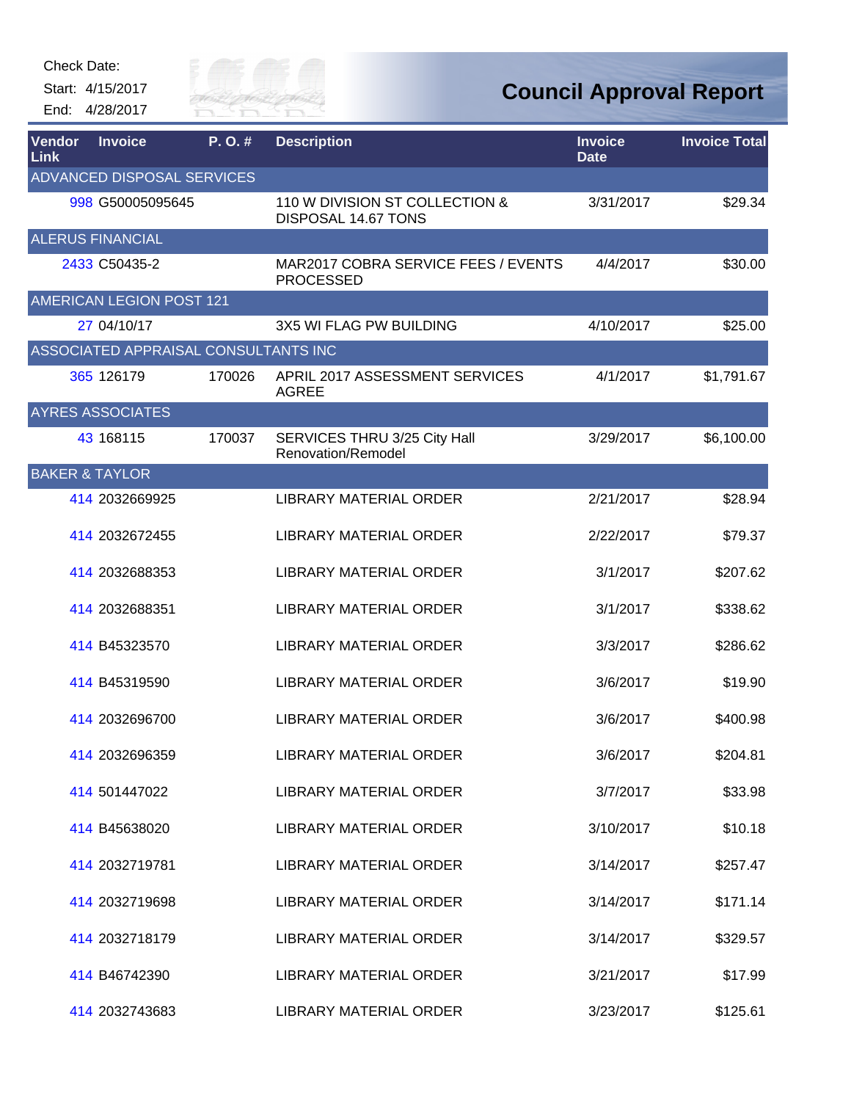Check Date:

Start: 4/15/2017 End: 4/28/2017



| <b>Vendor</b><br><b>Link</b> | <b>Invoice</b>                       | P.O.#  | <b>Description</b>                                      | <b>Invoice</b><br><b>Date</b> | <b>Invoice Total</b> |
|------------------------------|--------------------------------------|--------|---------------------------------------------------------|-------------------------------|----------------------|
|                              | ADVANCED DISPOSAL SERVICES           |        |                                                         |                               |                      |
|                              | 998 G50005095645                     |        | 110 W DIVISION ST COLLECTION &<br>DISPOSAL 14.67 TONS   | 3/31/2017                     | \$29.34              |
|                              | <b>ALERUS FINANCIAL</b>              |        |                                                         |                               |                      |
|                              | 2433 C50435-2                        |        | MAR2017 COBRA SERVICE FEES / EVENTS<br><b>PROCESSED</b> | 4/4/2017                      | \$30.00              |
|                              | <b>AMERICAN LEGION POST 121</b>      |        |                                                         |                               |                      |
|                              | 27 04/10/17                          |        | 3X5 WI FLAG PW BUILDING                                 | 4/10/2017                     | \$25.00              |
|                              | ASSOCIATED APPRAISAL CONSULTANTS INC |        |                                                         |                               |                      |
|                              | 365 126179                           | 170026 | APRIL 2017 ASSESSMENT SERVICES<br><b>AGREE</b>          | 4/1/2017                      | \$1,791.67           |
|                              | <b>AYRES ASSOCIATES</b>              |        |                                                         |                               |                      |
|                              | 43 168115                            | 170037 | SERVICES THRU 3/25 City Hall<br>Renovation/Remodel      | 3/29/2017                     | \$6,100.00           |
| <b>BAKER &amp; TAYLOR</b>    |                                      |        |                                                         |                               |                      |
|                              | 414 2032669925                       |        | <b>LIBRARY MATERIAL ORDER</b>                           | 2/21/2017                     | \$28.94              |
|                              | 414 2032672455                       |        | <b>LIBRARY MATERIAL ORDER</b>                           | 2/22/2017                     | \$79.37              |
|                              | 414 2032688353                       |        | LIBRARY MATERIAL ORDER                                  | 3/1/2017                      | \$207.62             |
|                              | 414 2032688351                       |        | <b>LIBRARY MATERIAL ORDER</b>                           | 3/1/2017                      | \$338.62             |
|                              | 414 B45323570                        |        | <b>LIBRARY MATERIAL ORDER</b>                           | 3/3/2017                      | \$286.62             |
|                              | 414 B45319590                        |        | <b>LIBRARY MATERIAL ORDER</b>                           | 3/6/2017                      | \$19.90              |
|                              | 414 2032696700                       |        | <b>LIBRARY MATERIAL ORDER</b>                           | 3/6/2017                      | \$400.98             |
|                              | 414 2032696359                       |        | <b>LIBRARY MATERIAL ORDER</b>                           | 3/6/2017                      | \$204.81             |
|                              | 414 501447022                        |        | <b>LIBRARY MATERIAL ORDER</b>                           | 3/7/2017                      | \$33.98              |
|                              | 414 B45638020                        |        | LIBRARY MATERIAL ORDER                                  | 3/10/2017                     | \$10.18              |
|                              | 414 2032719781                       |        | <b>LIBRARY MATERIAL ORDER</b>                           | 3/14/2017                     | \$257.47             |
|                              | 414 2032719698                       |        | LIBRARY MATERIAL ORDER                                  | 3/14/2017                     | \$171.14             |
|                              | 414 2032718179                       |        | LIBRARY MATERIAL ORDER                                  | 3/14/2017                     | \$329.57             |
|                              | 414 B46742390                        |        | <b>LIBRARY MATERIAL ORDER</b>                           | 3/21/2017                     | \$17.99              |
|                              | 414 2032743683                       |        | <b>LIBRARY MATERIAL ORDER</b>                           | 3/23/2017                     | \$125.61             |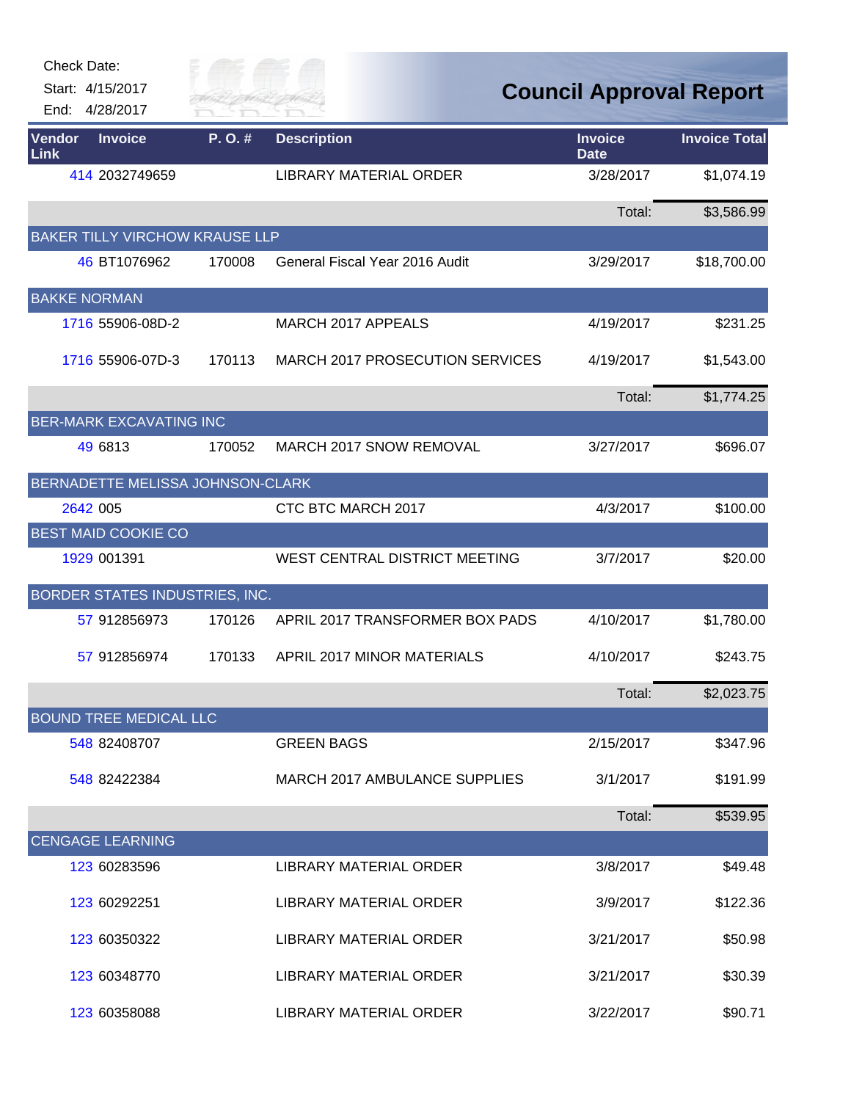| Check Date:    | Start: 4/15/2017<br>End: 4/28/2017    | <i>City of</i> |                                 | <b>Council Approval Report</b> |                      |
|----------------|---------------------------------------|----------------|---------------------------------|--------------------------------|----------------------|
| Vendor<br>Link | <b>Invoice</b>                        | P.O.#          | <b>Description</b>              | <b>Invoice</b><br><b>Date</b>  | <b>Invoice Total</b> |
|                | 414 2032749659                        |                | <b>LIBRARY MATERIAL ORDER</b>   | 3/28/2017                      | \$1,074.19           |
|                |                                       |                |                                 | Total:                         | \$3,586.99           |
|                | <b>BAKER TILLY VIRCHOW KRAUSE LLP</b> |                |                                 |                                |                      |
|                | 46 BT1076962                          | 170008         | General Fiscal Year 2016 Audit  | 3/29/2017                      | \$18,700.00          |
|                | <b>BAKKE NORMAN</b>                   |                |                                 |                                |                      |
|                | 1716 55906-08D-2                      |                | MARCH 2017 APPEALS              | 4/19/2017                      | \$231.25             |
|                | 1716 55906-07D-3                      | 170113         | MARCH 2017 PROSECUTION SERVICES | 4/19/2017                      | \$1,543.00           |
|                |                                       |                |                                 | Total:                         | \$1,774.25           |
|                | <b>BER-MARK EXCAVATING INC</b>        |                |                                 |                                |                      |
|                | 49 6813                               | 170052         | MARCH 2017 SNOW REMOVAL         | 3/27/2017                      | \$696.07             |
|                | BERNADETTE MELISSA JOHNSON-CLARK      |                |                                 |                                |                      |
|                | 2642 005                              |                | CTC BTC MARCH 2017              | 4/3/2017                       | \$100.00             |
|                | <b>BEST MAID COOKIE CO</b>            |                |                                 |                                |                      |
|                | 1929 001391                           |                | WEST CENTRAL DISTRICT MEETING   | 3/7/2017                       | \$20.00              |
|                | BORDER STATES INDUSTRIES, INC.        |                |                                 |                                |                      |
|                | 57 912856973                          | 170126         | APRIL 2017 TRANSFORMER BOX PADS | 4/10/2017                      | \$1,780.00           |
|                | 57 912856974                          | 170133         | APRIL 2017 MINOR MATERIALS      | 4/10/2017                      | \$243.75             |
|                |                                       |                |                                 | Total:                         | \$2,023.75           |
|                | <b>BOUND TREE MEDICAL LLC</b>         |                |                                 |                                |                      |
|                | 548 82408707                          |                | <b>GREEN BAGS</b>               | 2/15/2017                      | \$347.96             |
|                | 548 82422384                          |                | MARCH 2017 AMBULANCE SUPPLIES   | 3/1/2017                       | \$191.99             |
|                |                                       |                |                                 | Total:                         | \$539.95             |
|                | <b>CENGAGE LEARNING</b>               |                |                                 |                                |                      |
|                | 123 60283596                          |                | <b>LIBRARY MATERIAL ORDER</b>   | 3/8/2017                       | \$49.48              |
|                | 123 60292251                          |                | LIBRARY MATERIAL ORDER          | 3/9/2017                       | \$122.36             |
|                | 123 60350322                          |                | <b>LIBRARY MATERIAL ORDER</b>   | 3/21/2017                      | \$50.98              |
|                | 123 60348770                          |                | LIBRARY MATERIAL ORDER          | 3/21/2017                      | \$30.39              |
|                | 123 60358088                          |                | <b>LIBRARY MATERIAL ORDER</b>   | 3/22/2017                      | \$90.71              |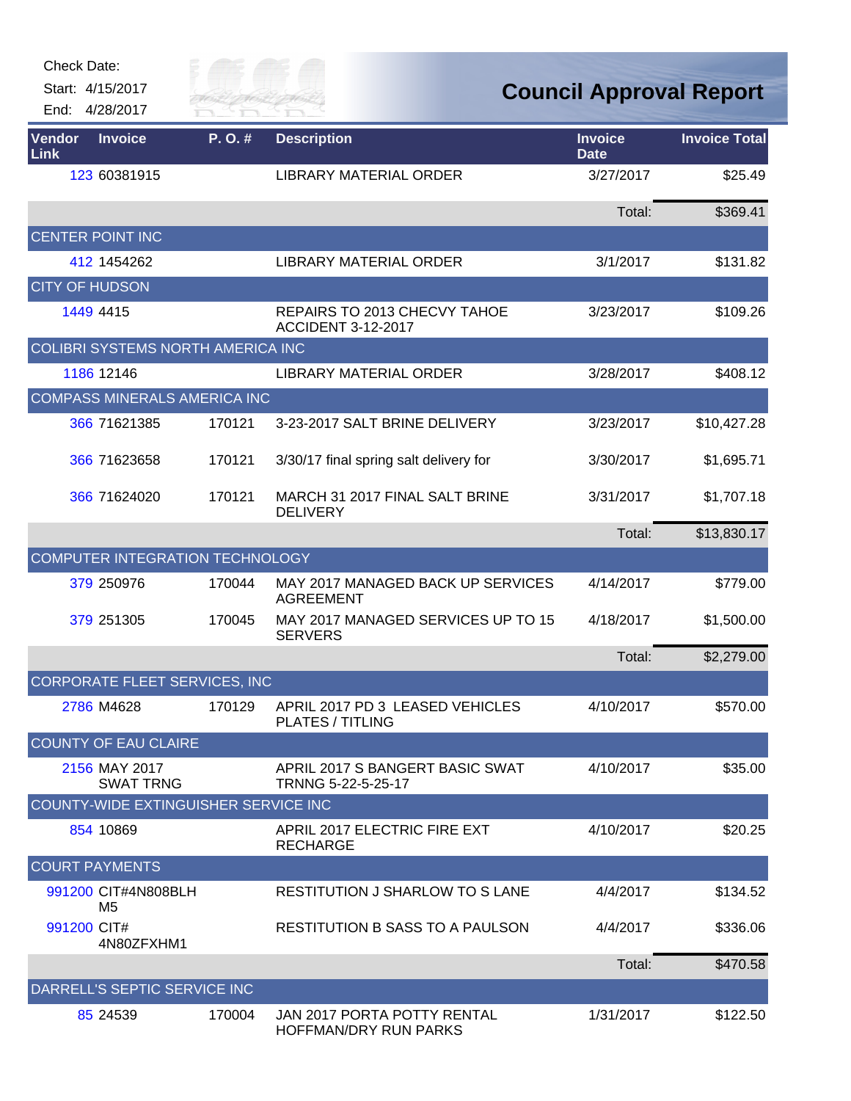| <b>Check Date:</b> |  |  |
|--------------------|--|--|
|                    |  |  |



| Vendor<br>Link        | <b>Invoice</b>                       | P.O.#  | <b>Description</b>                                         | <b>Invoice</b><br><b>Date</b> | <b>Invoice Total</b> |
|-----------------------|--------------------------------------|--------|------------------------------------------------------------|-------------------------------|----------------------|
|                       | 123 60381915                         |        | <b>LIBRARY MATERIAL ORDER</b>                              | 3/27/2017                     | \$25.49              |
|                       |                                      |        |                                                            | Total:                        | \$369.41             |
|                       | <b>CENTER POINT INC</b>              |        |                                                            |                               |                      |
|                       | 412 1454262                          |        | <b>LIBRARY MATERIAL ORDER</b>                              | 3/1/2017                      | \$131.82             |
| <b>CITY OF HUDSON</b> |                                      |        |                                                            |                               |                      |
|                       | 1449 4415                            |        | REPAIRS TO 2013 CHECVY TAHOE<br><b>ACCIDENT 3-12-2017</b>  | 3/23/2017                     | \$109.26             |
|                       | COLIBRI SYSTEMS NORTH AMERICA INC    |        |                                                            |                               |                      |
|                       | 1186 12146                           |        | <b>LIBRARY MATERIAL ORDER</b>                              | 3/28/2017                     | \$408.12             |
|                       | <b>COMPASS MINERALS AMERICA INC</b>  |        |                                                            |                               |                      |
|                       | 366 71621385                         | 170121 | 3-23-2017 SALT BRINE DELIVERY                              | 3/23/2017                     | \$10,427.28          |
|                       | 366 71623658                         | 170121 | 3/30/17 final spring salt delivery for                     | 3/30/2017                     | \$1,695.71           |
|                       | 366 71624020                         | 170121 | MARCH 31 2017 FINAL SALT BRINE<br><b>DELIVERY</b>          | 3/31/2017                     | \$1,707.18           |
|                       |                                      |        |                                                            | Total:                        | \$13,830.17          |
|                       | COMPUTER INTEGRATION TECHNOLOGY      |        |                                                            |                               |                      |
|                       | 379 250976                           | 170044 | MAY 2017 MANAGED BACK UP SERVICES<br><b>AGREEMENT</b>      | 4/14/2017                     | \$779.00             |
|                       | 379 251305                           | 170045 | MAY 2017 MANAGED SERVICES UP TO 15<br><b>SERVERS</b>       | 4/18/2017                     | \$1,500.00           |
|                       |                                      |        |                                                            | Total:                        | \$2,279.00           |
|                       | CORPORATE FLEET SERVICES, INC        |        |                                                            |                               |                      |
|                       | 2786 M4628                           | 170129 | APRIL 2017 PD 3 LEASED VEHICLES<br><b>PLATES / TITLING</b> | 4/10/2017                     | \$570.00             |
|                       | <b>COUNTY OF EAU CLAIRE</b>          |        |                                                            |                               |                      |
|                       | 2156 MAY 2017<br><b>SWAT TRNG</b>    |        | APRIL 2017 S BANGERT BASIC SWAT<br>TRNNG 5-22-5-25-17      | 4/10/2017                     | \$35.00              |
|                       | COUNTY-WIDE EXTINGUISHER SERVICE INC |        |                                                            |                               |                      |
|                       | 854 10869                            |        | APRIL 2017 ELECTRIC FIRE EXT<br><b>RECHARGE</b>            | 4/10/2017                     | \$20.25              |
|                       | <b>COURT PAYMENTS</b>                |        |                                                            |                               |                      |
|                       | 991200 CIT#4N808BLH<br>M5            |        | <b>RESTITUTION J SHARLOW TO S LANE</b>                     | 4/4/2017                      | \$134.52             |
| 991200 CIT#           | 4N80ZFXHM1                           |        | RESTITUTION B SASS TO A PAULSON                            | 4/4/2017                      | \$336.06             |
|                       |                                      |        |                                                            | Total:                        | \$470.58             |
|                       | DARRELL'S SEPTIC SERVICE INC         |        |                                                            |                               |                      |
|                       | 85 24539                             | 170004 | JAN 2017 PORTA POTTY RENTAL<br>HOFFMAN/DRY RUN PARKS       | 1/31/2017                     | \$122.50             |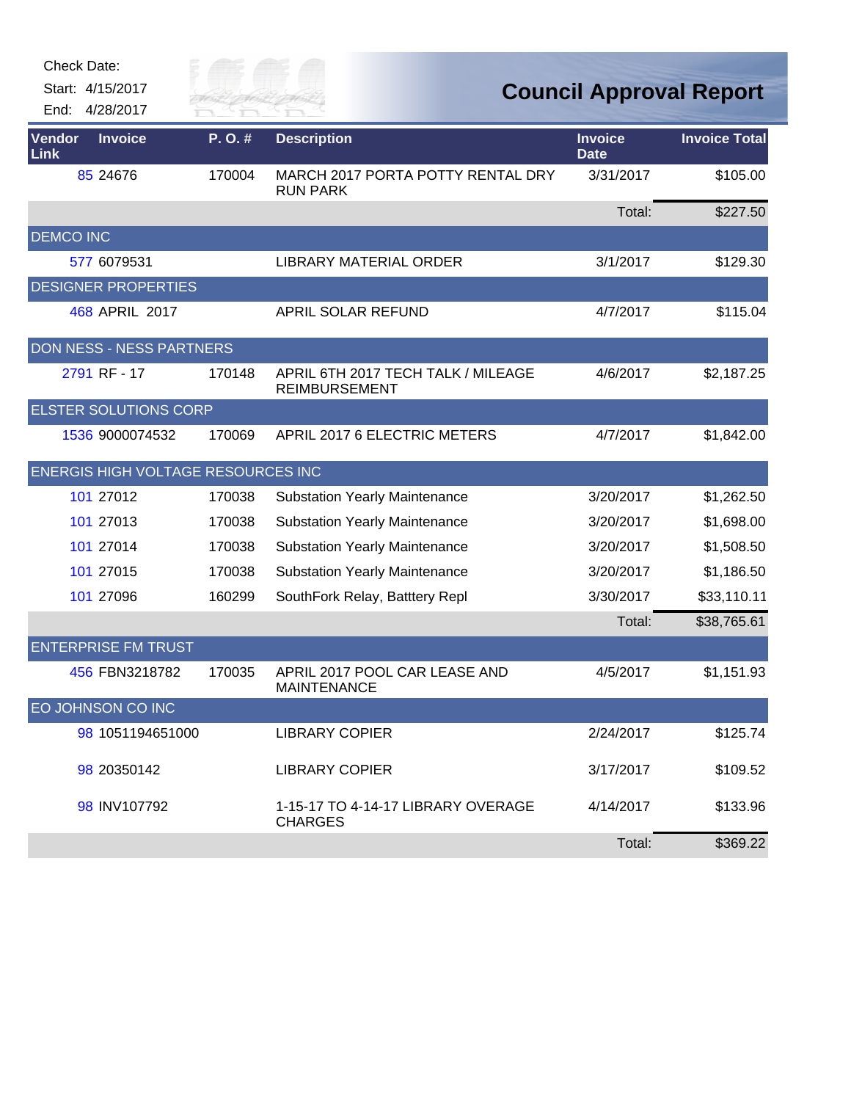

| Vendor<br>Link   | <b>Invoice</b>                     | P.O.#  | <b>Description</b>                                         | <b>Invoice</b><br><b>Date</b> | <b>Invoice Total</b> |
|------------------|------------------------------------|--------|------------------------------------------------------------|-------------------------------|----------------------|
|                  | 85 24676                           | 170004 | MARCH 2017 PORTA POTTY RENTAL DRY<br><b>RUN PARK</b>       | 3/31/2017                     | \$105.00             |
|                  |                                    |        |                                                            | Total:                        | \$227.50             |
| <b>DEMCO INC</b> |                                    |        |                                                            |                               |                      |
|                  | 577 6079531                        |        | LIBRARY MATERIAL ORDER                                     | 3/1/2017                      | \$129.30             |
|                  | <b>DESIGNER PROPERTIES</b>         |        |                                                            |                               |                      |
|                  | 468 APRIL 2017                     |        | APRIL SOLAR REFUND                                         | 4/7/2017                      | \$115.04             |
|                  | <b>DON NESS - NESS PARTNERS</b>    |        |                                                            |                               |                      |
|                  | 2791 RF - 17                       | 170148 | APRIL 6TH 2017 TECH TALK / MILEAGE<br><b>REIMBURSEMENT</b> | 4/6/2017                      | \$2,187.25           |
|                  | <b>ELSTER SOLUTIONS CORP</b>       |        |                                                            |                               |                      |
|                  | 1536 9000074532                    | 170069 | APRIL 2017 6 ELECTRIC METERS                               | 4/7/2017                      | \$1,842.00           |
|                  | ENERGIS HIGH VOLTAGE RESOURCES INC |        |                                                            |                               |                      |
|                  | 101 27012                          | 170038 | <b>Substation Yearly Maintenance</b>                       | 3/20/2017                     | \$1,262.50           |
|                  | 101 27013                          | 170038 | <b>Substation Yearly Maintenance</b>                       | 3/20/2017                     | \$1,698.00           |
|                  | 101 27014                          | 170038 | <b>Substation Yearly Maintenance</b>                       | 3/20/2017                     | \$1,508.50           |
|                  | 101 27015                          | 170038 | <b>Substation Yearly Maintenance</b>                       | 3/20/2017                     | \$1,186.50           |
|                  | 101 27096                          | 160299 | SouthFork Relay, Batttery Repl                             | 3/30/2017                     | \$33,110.11          |
|                  |                                    |        |                                                            | Total:                        | \$38,765.61          |
|                  | <b>ENTERPRISE FM TRUST</b>         |        |                                                            |                               |                      |
|                  | 456 FBN3218782                     | 170035 | APRIL 2017 POOL CAR LEASE AND<br><b>MAINTENANCE</b>        | 4/5/2017                      | \$1,151.93           |
|                  | EO JOHNSON CO INC                  |        |                                                            |                               |                      |
|                  | 98 1051194651000                   |        | <b>LIBRARY COPIER</b>                                      | 2/24/2017                     | \$125.74             |
|                  | 98 20350142                        |        | <b>LIBRARY COPIER</b>                                      | 3/17/2017                     | \$109.52             |
|                  | 98 INV107792                       |        | 1-15-17 TO 4-14-17 LIBRARY OVERAGE<br><b>CHARGES</b>       | 4/14/2017                     | \$133.96             |
|                  |                                    |        |                                                            | Total:                        | \$369.22             |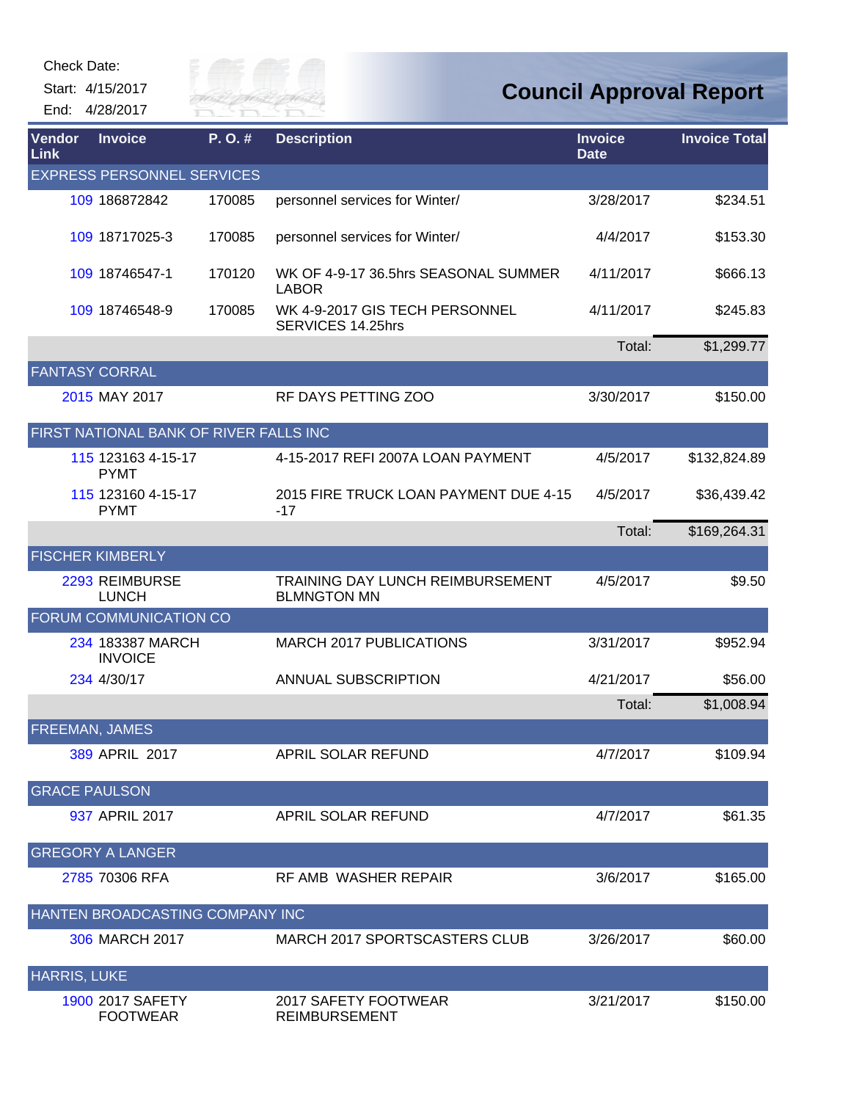### Check Date:

Start: 4/15/2017

End: 4/28/2017



| Vendor<br>Link        | <b>Invoice</b>                         | P.O.#  | <b>Description</b>                                     | <b>Invoice</b><br><b>Date</b> | <b>Invoice Total</b> |
|-----------------------|----------------------------------------|--------|--------------------------------------------------------|-------------------------------|----------------------|
|                       | <b>EXPRESS PERSONNEL SERVICES</b>      |        |                                                        |                               |                      |
|                       | 109 186872842                          | 170085 | personnel services for Winter/                         | 3/28/2017                     | \$234.51             |
|                       | 109 18717025-3                         | 170085 | personnel services for Winter/                         | 4/4/2017                      | \$153.30             |
|                       | 109 18746547-1                         | 170120 | WK OF 4-9-17 36.5hrs SEASONAL SUMMER<br><b>LABOR</b>   | 4/11/2017                     | \$666.13             |
|                       | 109 18746548-9                         | 170085 | WK 4-9-2017 GIS TECH PERSONNEL<br>SERVICES 14.25hrs    | 4/11/2017                     | \$245.83             |
|                       |                                        |        |                                                        | Total:                        | \$1,299.77           |
| <b>FANTASY CORRAL</b> |                                        |        |                                                        |                               |                      |
|                       | 2015 MAY 2017                          |        | RF DAYS PETTING ZOO                                    | 3/30/2017                     | \$150.00             |
|                       | FIRST NATIONAL BANK OF RIVER FALLS INC |        |                                                        |                               |                      |
|                       | 115 123163 4-15-17<br><b>PYMT</b>      |        | 4-15-2017 REFI 2007A LOAN PAYMENT                      | 4/5/2017                      | \$132,824.89         |
|                       | 115 123160 4-15-17<br><b>PYMT</b>      |        | 2015 FIRE TRUCK LOAN PAYMENT DUE 4-15<br>$-17$         | 4/5/2017                      | \$36,439.42          |
|                       |                                        |        |                                                        | Total:                        | \$169,264.31         |
|                       | <b>FISCHER KIMBERLY</b>                |        |                                                        |                               |                      |
|                       | 2293 REIMBURSE<br><b>LUNCH</b>         |        | TRAINING DAY LUNCH REIMBURSEMENT<br><b>BLMNGTON MN</b> | 4/5/2017                      | \$9.50               |
|                       | FORUM COMMUNICATION CO                 |        |                                                        |                               |                      |
|                       | 234 183387 MARCH<br><b>INVOICE</b>     |        | <b>MARCH 2017 PUBLICATIONS</b>                         | 3/31/2017                     | \$952.94             |
|                       | 234 4/30/17                            |        | ANNUAL SUBSCRIPTION                                    | 4/21/2017                     | \$56.00              |
|                       |                                        |        |                                                        | Total:                        | \$1,008.94           |
| <b>FREEMAN, JAMES</b> |                                        |        |                                                        |                               |                      |
|                       | 389 APRIL 2017                         |        | APRIL SOLAR REFUND                                     | 4/7/2017                      | \$109.94             |
| <b>GRACE PAULSON</b>  |                                        |        |                                                        |                               |                      |
|                       | 937 APRIL 2017                         |        | APRIL SOLAR REFUND                                     | 4/7/2017                      | \$61.35              |
|                       | <b>GREGORY A LANGER</b>                |        |                                                        |                               |                      |
|                       | 2785 70306 RFA                         |        | RF AMB WASHER REPAIR                                   | 3/6/2017                      | \$165.00             |
|                       | HANTEN BROADCASTING COMPANY INC        |        |                                                        |                               |                      |
|                       | 306 MARCH 2017                         |        | MARCH 2017 SPORTSCASTERS CLUB                          | 3/26/2017                     | \$60.00              |
| <b>HARRIS, LUKE</b>   |                                        |        |                                                        |                               |                      |
|                       | 1900 2017 SAFETY<br><b>FOOTWEAR</b>    |        | 2017 SAFETY FOOTWEAR<br><b>REIMBURSEMENT</b>           | 3/21/2017                     | \$150.00             |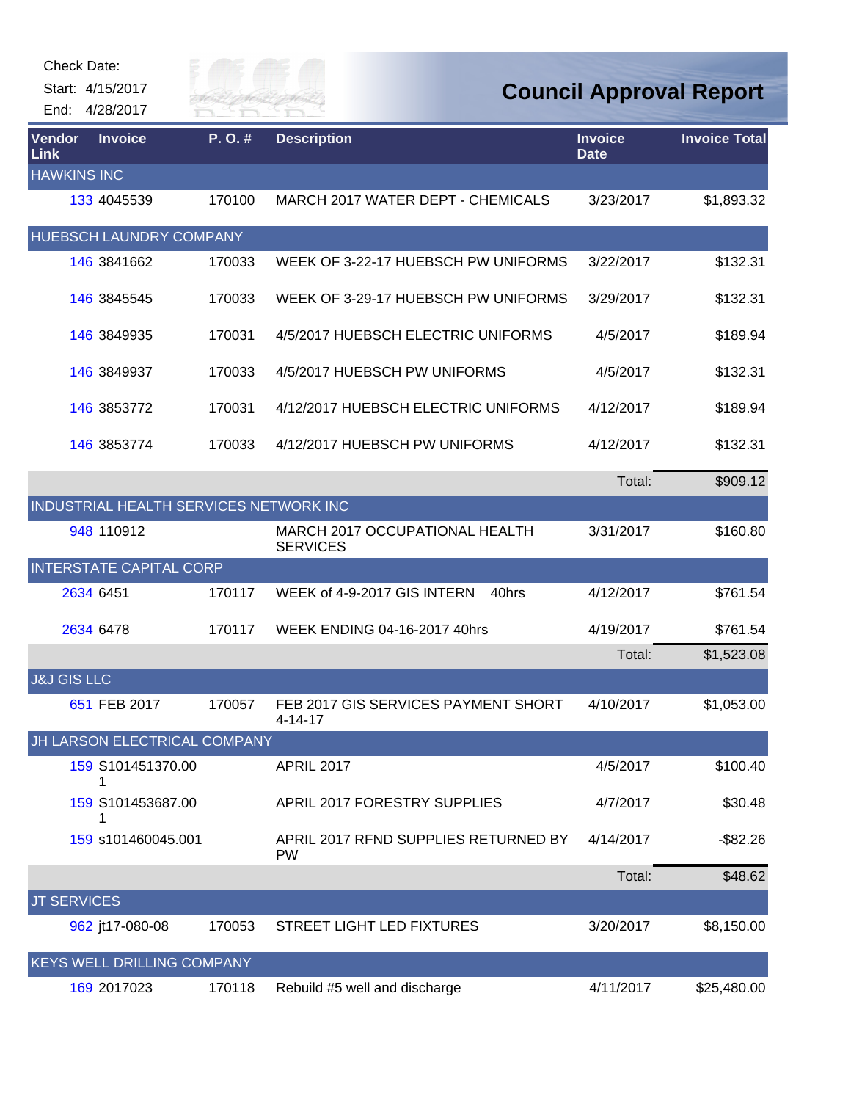| <b>Check Date:</b>     |                                        |                      |                                                   |                               |                                |
|------------------------|----------------------------------------|----------------------|---------------------------------------------------|-------------------------------|--------------------------------|
| End:                   | Start: 4/15/2017<br>4/28/2017          | City of<br>RIVER FAI |                                                   |                               | <b>Council Approval Report</b> |
| Vendor<br>Link         | <b>Invoice</b>                         | $P. O.$ #            | <b>Description</b>                                | <b>Invoice</b><br><b>Date</b> | <b>Invoice Total</b>           |
| <b>HAWKINS INC</b>     |                                        |                      |                                                   |                               |                                |
|                        | 133 4045539                            | 170100               | <b>MARCH 2017 WATER DEPT - CHEMICALS</b>          | 3/23/2017                     | \$1,893.32                     |
|                        | HUEBSCH LAUNDRY COMPANY                |                      |                                                   |                               |                                |
|                        | 146 3841662                            | 170033               | WEEK OF 3-22-17 HUEBSCH PW UNIFORMS               | 3/22/2017                     | \$132.31                       |
|                        | 146 3845545                            | 170033               | WEEK OF 3-29-17 HUEBSCH PW UNIFORMS               | 3/29/2017                     | \$132.31                       |
|                        | 146 3849935                            | 170031               | 4/5/2017 HUEBSCH ELECTRIC UNIFORMS                | 4/5/2017                      | \$189.94                       |
|                        | 146 3849937                            | 170033               | 4/5/2017 HUEBSCH PW UNIFORMS                      | 4/5/2017                      | \$132.31                       |
|                        | 146 3853772                            | 170031               | 4/12/2017 HUEBSCH ELECTRIC UNIFORMS               | 4/12/2017                     | \$189.94                       |
|                        | 146 3853774                            | 170033               | 4/12/2017 HUEBSCH PW UNIFORMS                     | 4/12/2017                     | \$132.31                       |
|                        |                                        |                      |                                                   | Total:                        | \$909.12                       |
|                        | INDUSTRIAL HEALTH SERVICES NETWORK INC |                      |                                                   |                               |                                |
|                        | 948 110912                             |                      | MARCH 2017 OCCUPATIONAL HEALTH<br><b>SERVICES</b> | 3/31/2017                     | \$160.80                       |
|                        | <b>INTERSTATE CAPITAL CORP</b>         |                      |                                                   |                               |                                |
|                        | 2634 6451                              | 170117               | WEEK of 4-9-2017 GIS INTERN<br>40hrs              | 4/12/2017                     | \$761.54                       |
|                        | 2634 6478                              | 170117               | <b>WEEK ENDING 04-16-2017 40hrs</b>               | 4/19/2017                     | \$761.54                       |
|                        |                                        |                      |                                                   | Total:                        | \$1,523.08                     |
| <b>J&amp;J GIS LLC</b> |                                        |                      |                                                   |                               |                                |
|                        | 651 FEB 2017                           | 170057               | FEB 2017 GIS SERVICES PAYMENT SHORT<br>4-14-17    | 4/10/2017                     | \$1,053.00                     |
|                        | JH LARSON ELECTRICAL COMPANY           |                      |                                                   |                               |                                |
|                        | 159 S101451370.00                      |                      | <b>APRIL 2017</b>                                 | 4/5/2017                      | \$100.40                       |
|                        | 159 S101453687.00                      |                      | APRIL 2017 FORESTRY SUPPLIES                      | 4/7/2017                      | \$30.48                        |
|                        | 159 s101460045.001                     |                      | APRIL 2017 RFND SUPPLIES RETURNED BY<br><b>PW</b> | 4/14/2017                     | -\$82.26                       |
|                        |                                        |                      |                                                   | Total:                        | \$48.62                        |
| <b>JT SERVICES</b>     |                                        |                      |                                                   |                               |                                |
|                        | 962 jt17-080-08                        | 170053               | STREET LIGHT LED FIXTURES                         | 3/20/2017                     | \$8,150.00                     |
|                        | <b>KEYS WELL DRILLING COMPANY</b>      |                      |                                                   |                               |                                |
|                        | 169 2017023                            | 170118               | Rebuild #5 well and discharge                     | 4/11/2017                     | \$25,480.00                    |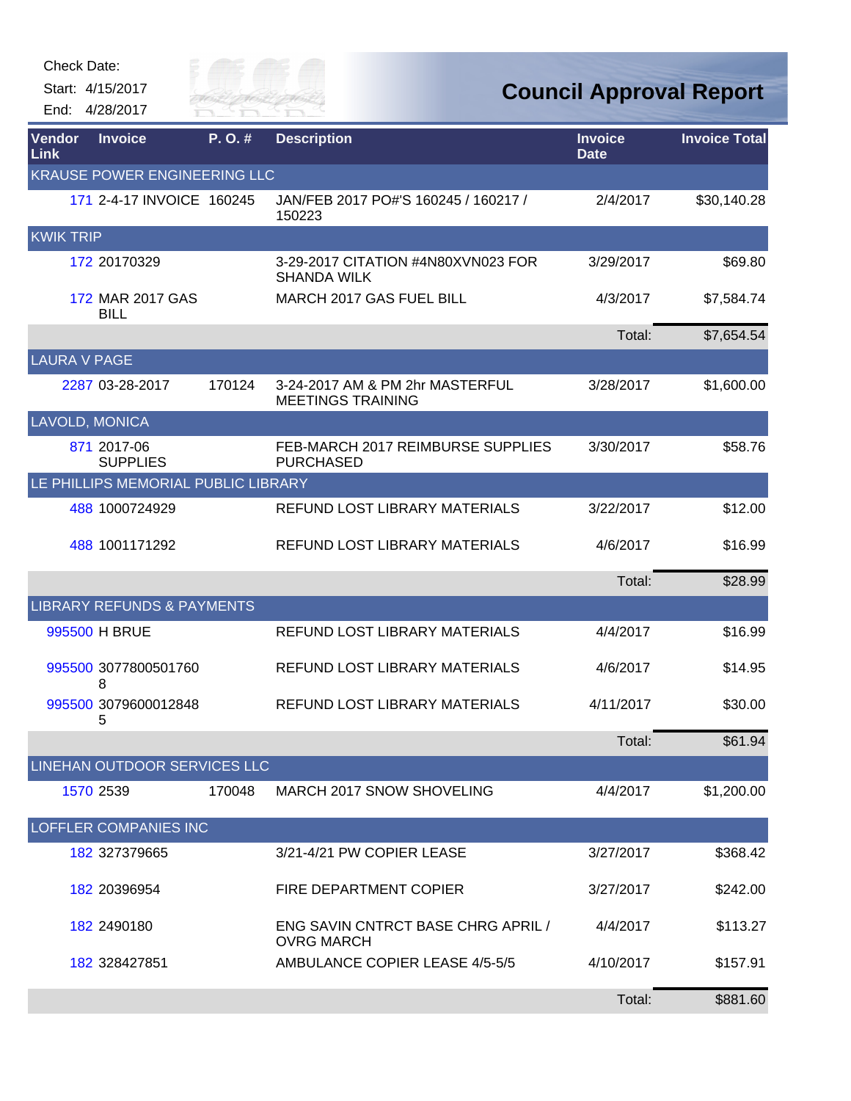

| <b>Vendor</b><br>Link | <b>Invoice</b>                        | P.O.#  | <b>Description</b>                                          | <b>Invoice</b><br><b>Date</b> | <b>Invoice Total</b> |
|-----------------------|---------------------------------------|--------|-------------------------------------------------------------|-------------------------------|----------------------|
|                       | KRAUSE POWER ENGINEERING LLC          |        |                                                             |                               |                      |
|                       | 171 2-4-17 INVOICE 160245             |        | JAN/FEB 2017 PO#'S 160245 / 160217 /<br>150223              | 2/4/2017                      | \$30,140.28          |
| <b>KWIK TRIP</b>      |                                       |        |                                                             |                               |                      |
|                       | 172 20170329                          |        | 3-29-2017 CITATION #4N80XVN023 FOR<br><b>SHANDA WILK</b>    | 3/29/2017                     | \$69.80              |
|                       | 172 MAR 2017 GAS<br><b>BILL</b>       |        | MARCH 2017 GAS FUEL BILL                                    | 4/3/2017                      | \$7,584.74           |
|                       |                                       |        |                                                             | Total:                        | \$7,654.54           |
| <b>LAURA V PAGE</b>   |                                       |        |                                                             |                               |                      |
|                       | 2287 03-28-2017                       | 170124 | 3-24-2017 AM & PM 2hr MASTERFUL<br><b>MEETINGS TRAINING</b> | 3/28/2017                     | \$1,600.00           |
|                       | <b>LAVOLD, MONICA</b>                 |        |                                                             |                               |                      |
|                       | 871 2017-06<br><b>SUPPLIES</b>        |        | FEB-MARCH 2017 REIMBURSE SUPPLIES<br><b>PURCHASED</b>       | 3/30/2017                     | \$58.76              |
|                       | LE PHILLIPS MEMORIAL PUBLIC LIBRARY   |        |                                                             |                               |                      |
|                       | 488 1000724929                        |        | REFUND LOST LIBRARY MATERIALS                               | 3/22/2017                     | \$12.00              |
|                       | 488 1001171292                        |        | REFUND LOST LIBRARY MATERIALS                               | 4/6/2017                      | \$16.99              |
|                       |                                       |        |                                                             | Total:                        | \$28.99              |
|                       | <b>LIBRARY REFUNDS &amp; PAYMENTS</b> |        |                                                             |                               |                      |
|                       | 995500 H BRUE                         |        | REFUND LOST LIBRARY MATERIALS                               | 4/4/2017                      | \$16.99              |
|                       | 995500 3077800501760<br>8             |        | REFUND LOST LIBRARY MATERIALS                               | 4/6/2017                      | \$14.95              |
|                       | 995500 3079600012848<br>5             |        | REFUND LOST LIBRARY MATERIALS                               | 4/11/2017                     | \$30.00              |
|                       |                                       |        |                                                             | Total:                        | \$61.94              |
|                       | LINEHAN OUTDOOR SERVICES LLC          |        |                                                             |                               |                      |
|                       | 1570 2539                             | 170048 | MARCH 2017 SNOW SHOVELING                                   | 4/4/2017                      | \$1,200.00           |
|                       | <b>LOFFLER COMPANIES INC</b>          |        |                                                             |                               |                      |
|                       | 182 327379665                         |        | 3/21-4/21 PW COPIER LEASE                                   | 3/27/2017                     | \$368.42             |
|                       | 182 20396954                          |        | FIRE DEPARTMENT COPIER                                      | 3/27/2017                     | \$242.00             |
|                       | 182 2490180                           |        | ENG SAVIN CNTRCT BASE CHRG APRIL /<br><b>OVRG MARCH</b>     | 4/4/2017                      | \$113.27             |
|                       | 182 328427851                         |        | AMBULANCE COPIER LEASE 4/5-5/5                              | 4/10/2017                     | \$157.91             |
|                       |                                       |        |                                                             | Total:                        | \$881.60             |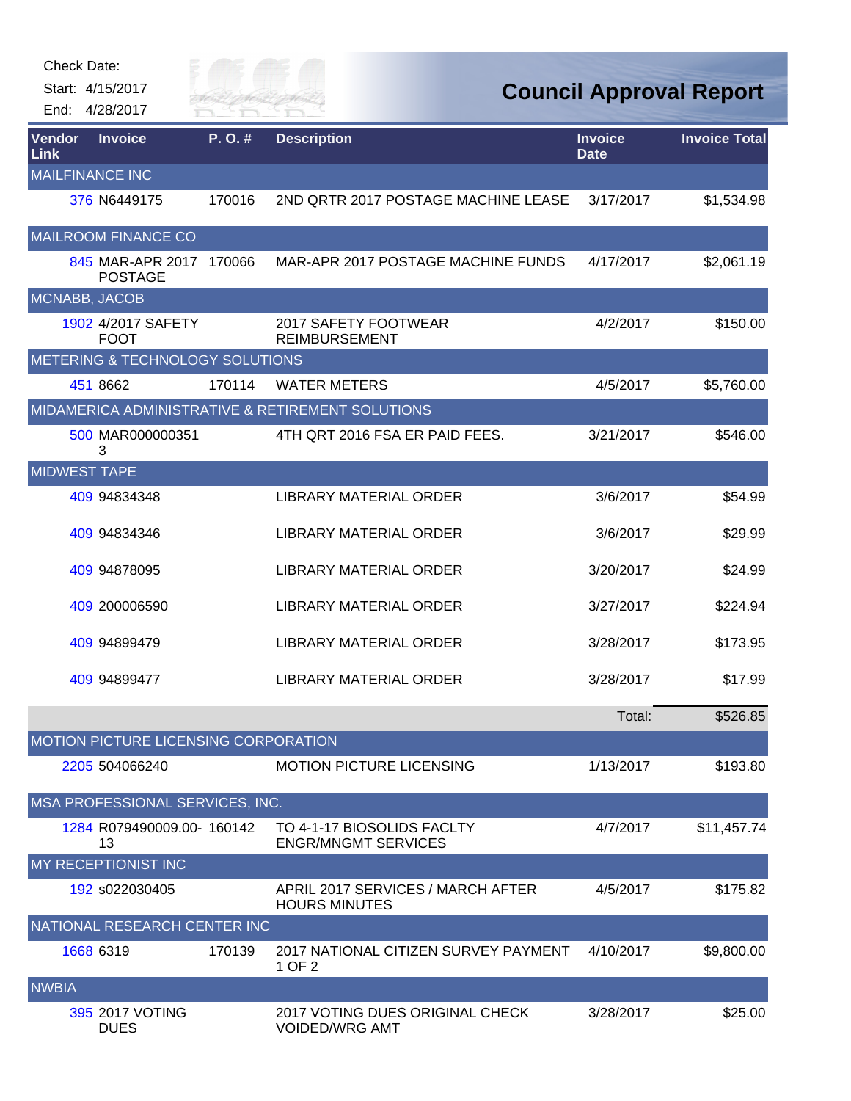| Check Date:            |                                           |        |                                                           |                               |                                |
|------------------------|-------------------------------------------|--------|-----------------------------------------------------------|-------------------------------|--------------------------------|
|                        | Start: 4/15/2017<br>End: 4/28/2017        |        | VER FAI                                                   |                               | <b>Council Approval Report</b> |
| Vendor<br>Link         | <b>Invoice</b>                            | P.O.#  | <b>Description</b>                                        | <b>Invoice</b><br><b>Date</b> | <b>Invoice Total</b>           |
| <b>MAILFINANCE INC</b> |                                           |        |                                                           |                               |                                |
|                        | 376 N6449175                              | 170016 | 2ND QRTR 2017 POSTAGE MACHINE LEASE                       | 3/17/2017                     | \$1,534.98                     |
|                        | <b>MAILROOM FINANCE CO</b>                |        |                                                           |                               |                                |
|                        | 845 MAR-APR 2017 170066<br><b>POSTAGE</b> |        | MAR-APR 2017 POSTAGE MACHINE FUNDS                        | 4/17/2017                     | \$2,061.19                     |
| MCNABB, JACOB          |                                           |        |                                                           |                               |                                |
|                        | 1902 4/2017 SAFETY<br><b>FOOT</b>         |        | 2017 SAFETY FOOTWEAR<br><b>REIMBURSEMENT</b>              | 4/2/2017                      | \$150.00                       |
|                        | METERING & TECHNOLOGY SOLUTIONS           |        |                                                           |                               |                                |
|                        | 451 8662                                  | 170114 | <b>WATER METERS</b>                                       | 4/5/2017                      | \$5,760.00                     |
|                        |                                           |        | MIDAMERICA ADMINISTRATIVE & RETIREMENT SOLUTIONS          |                               |                                |
|                        | 500 MAR000000351<br>3                     |        | 4TH QRT 2016 FSA ER PAID FEES.                            | 3/21/2017                     | \$546.00                       |
| <b>MIDWEST TAPE</b>    |                                           |        |                                                           |                               |                                |
|                        | 409 94834348                              |        | <b>LIBRARY MATERIAL ORDER</b>                             | 3/6/2017                      | \$54.99                        |
|                        | 409 94834346                              |        | <b>LIBRARY MATERIAL ORDER</b>                             | 3/6/2017                      | \$29.99                        |
|                        | 409 94878095                              |        | <b>LIBRARY MATERIAL ORDER</b>                             | 3/20/2017                     | \$24.99                        |
|                        | 409 200006590                             |        | <b>LIBRARY MATERIAL ORDER</b>                             | 3/27/2017                     | \$224.94                       |
|                        | 409 94899479                              |        | <b>LIBRARY MATERIAL ORDER</b>                             | 3/28/2017                     | \$173.95                       |
|                        | 409 94899477                              |        | <b>LIBRARY MATERIAL ORDER</b>                             | 3/28/2017                     | \$17.99                        |
|                        |                                           |        |                                                           | Total:                        | \$526.85                       |
|                        | MOTION PICTURE LICENSING CORPORATION      |        |                                                           |                               |                                |
|                        | 2205 504066240                            |        | <b>MOTION PICTURE LICENSING</b>                           | 1/13/2017                     | \$193.80                       |
|                        | MSA PROFESSIONAL SERVICES, INC.           |        |                                                           |                               |                                |
|                        | 1284 R079490009.00- 160142<br>13          |        | TO 4-1-17 BIOSOLIDS FACLTY<br><b>ENGR/MNGMT SERVICES</b>  | 4/7/2017                      | \$11,457.74                    |
|                        | MY RECEPTIONIST INC                       |        |                                                           |                               |                                |
|                        | 192 s022030405                            |        | APRIL 2017 SERVICES / MARCH AFTER<br><b>HOURS MINUTES</b> | 4/5/2017                      | \$175.82                       |
|                        | NATIONAL RESEARCH CENTER INC              |        |                                                           |                               |                                |
|                        | 1668 6319                                 | 170139 | 2017 NATIONAL CITIZEN SURVEY PAYMENT<br>1 OF 2            | 4/10/2017                     | \$9,800.00                     |
| <b>NWBIA</b>           |                                           |        |                                                           |                               |                                |
|                        | 395 2017 VOTING<br><b>DUES</b>            |        | 2017 VOTING DUES ORIGINAL CHECK<br><b>VOIDED/WRG AMT</b>  | 3/28/2017                     | \$25.00                        |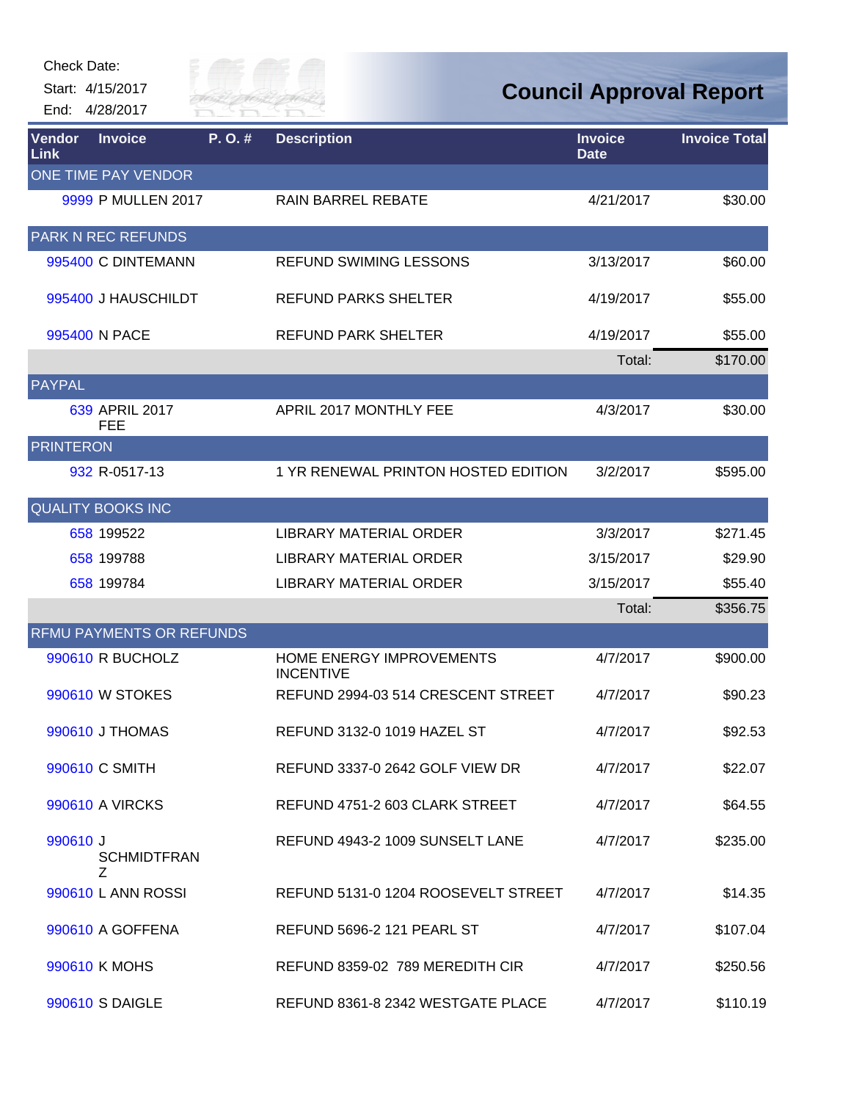

| Vendor<br><b>Link</b> | <b>Invoice</b>               | P.O.# | <b>Description</b>                           | <b>Invoice</b><br><b>Date</b> | <b>Invoice Total</b> |
|-----------------------|------------------------------|-------|----------------------------------------------|-------------------------------|----------------------|
|                       | ONE TIME PAY VENDOR          |       |                                              |                               |                      |
|                       | 9999 P MULLEN 2017           |       | <b>RAIN BARREL REBATE</b>                    | 4/21/2017                     | \$30.00              |
|                       | PARK N REC REFUNDS           |       |                                              |                               |                      |
|                       | 995400 C DINTEMANN           |       | <b>REFUND SWIMING LESSONS</b>                | 3/13/2017                     | \$60.00              |
|                       | 995400 J HAUSCHILDT          |       | <b>REFUND PARKS SHELTER</b>                  | 4/19/2017                     | \$55.00              |
|                       | 995400 N PACE                |       | <b>REFUND PARK SHELTER</b>                   | 4/19/2017                     | \$55.00              |
|                       |                              |       |                                              | Total:                        | \$170.00             |
| <b>PAYPAL</b>         |                              |       |                                              |                               |                      |
|                       | 639 APRIL 2017<br><b>FEE</b> |       | APRIL 2017 MONTHLY FEE                       | 4/3/2017                      | \$30.00              |
| <b>PRINTERON</b>      |                              |       |                                              |                               |                      |
|                       | 932 R-0517-13                |       | 1 YR RENEWAL PRINTON HOSTED EDITION          | 3/2/2017                      | \$595.00             |
|                       | <b>QUALITY BOOKS INC</b>     |       |                                              |                               |                      |
|                       | 658 199522                   |       | LIBRARY MATERIAL ORDER                       | 3/3/2017                      | \$271.45             |
|                       | 658 199788                   |       | LIBRARY MATERIAL ORDER                       | 3/15/2017                     | \$29.90              |
|                       | 658 199784                   |       | LIBRARY MATERIAL ORDER                       | 3/15/2017                     | \$55.40              |
|                       |                              |       |                                              | Total:                        | \$356.75             |
|                       | RFMU PAYMENTS OR REFUNDS     |       |                                              |                               |                      |
|                       | 990610 R BUCHOLZ             |       | HOME ENERGY IMPROVEMENTS<br><b>INCENTIVE</b> | 4/7/2017                      | \$900.00             |
|                       | 990610 W STOKES              |       | REFUND 2994-03 514 CRESCENT STREET           | 4/7/2017                      | \$90.23              |
|                       | 990610 J THOMAS              |       | <b>REFUND 3132-0 1019 HAZEL ST</b>           | 4/7/2017                      | \$92.53              |
|                       | 990610 C SMITH               |       | REFUND 3337-0 2642 GOLF VIEW DR              | 4/7/2017                      | \$22.07              |
|                       | 990610 A VIRCKS              |       | REFUND 4751-2 603 CLARK STREET               | 4/7/2017                      | \$64.55              |
| 990610 J              | <b>SCHMIDTFRAN</b><br>Z      |       | REFUND 4943-2 1009 SUNSELT LANE              | 4/7/2017                      | \$235.00             |
|                       | 990610 L ANN ROSSI           |       | REFUND 5131-0 1204 ROOSEVELT STREET          | 4/7/2017                      | \$14.35              |
|                       | 990610 A GOFFENA             |       | <b>REFUND 5696-2 121 PEARL ST</b>            | 4/7/2017                      | \$107.04             |
|                       | 990610 K MOHS                |       | REFUND 8359-02 789 MEREDITH CIR              | 4/7/2017                      | \$250.56             |
|                       | 990610 S DAIGLE              |       | REFUND 8361-8 2342 WESTGATE PLACE            | 4/7/2017                      | \$110.19             |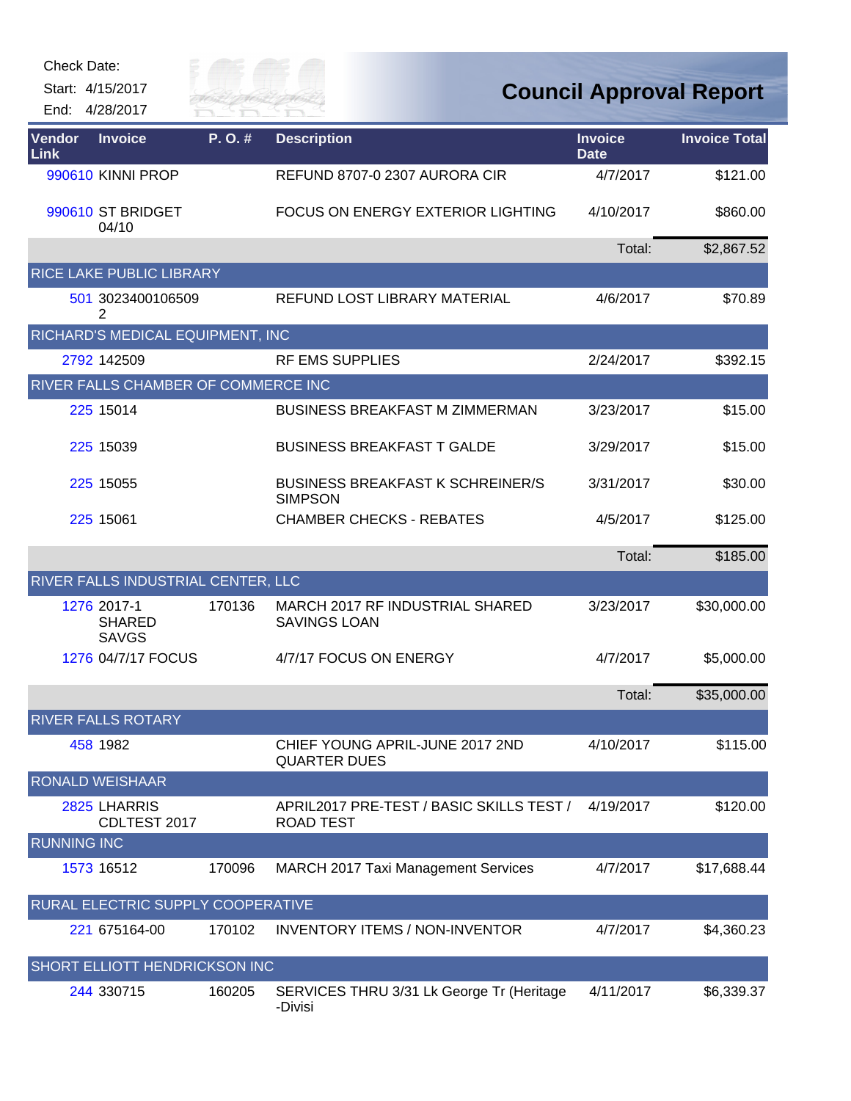| Check Date: |  |
|-------------|--|
|-------------|--|

Start: 4/15/2017

End: 4/28/2017



| Vendor<br>Link     | <b>Invoice</b>                               | P.O.#  | <b>Description</b>                                           | <b>Invoice</b><br><b>Date</b> | <b>Invoice Total</b> |
|--------------------|----------------------------------------------|--------|--------------------------------------------------------------|-------------------------------|----------------------|
|                    | 990610 KINNI PROP                            |        | REFUND 8707-0 2307 AURORA CIR                                | 4/7/2017                      | \$121.00             |
|                    | 990610 ST BRIDGET<br>04/10                   |        | FOCUS ON ENERGY EXTERIOR LIGHTING                            | 4/10/2017                     | \$860.00             |
|                    |                                              |        |                                                              | Total:                        | \$2,867.52           |
|                    | RICE LAKE PUBLIC LIBRARY                     |        |                                                              |                               |                      |
|                    | 501 3023400106509<br>2                       |        | REFUND LOST LIBRARY MATERIAL                                 | 4/6/2017                      | \$70.89              |
|                    | RICHARD'S MEDICAL EQUIPMENT, INC             |        |                                                              |                               |                      |
|                    | 2792 142509                                  |        | <b>RF EMS SUPPLIES</b>                                       | 2/24/2017                     | \$392.15             |
|                    | RIVER FALLS CHAMBER OF COMMERCE INC          |        |                                                              |                               |                      |
|                    | 225 15014                                    |        | <b>BUSINESS BREAKFAST M ZIMMERMAN</b>                        | 3/23/2017                     | \$15.00              |
|                    | 225 15039                                    |        | <b>BUSINESS BREAKFAST T GALDE</b>                            | 3/29/2017                     | \$15.00              |
|                    | 225 15055                                    |        | <b>BUSINESS BREAKFAST K SCHREINER/S</b><br><b>SIMPSON</b>    | 3/31/2017                     | \$30.00              |
|                    | 225 15061                                    |        | <b>CHAMBER CHECKS - REBATES</b>                              | 4/5/2017                      | \$125.00             |
|                    |                                              |        |                                                              | Total:                        | \$185.00             |
|                    | RIVER FALLS INDUSTRIAL CENTER, LLC           |        |                                                              |                               |                      |
|                    | 1276 2017-1<br><b>SHARED</b><br><b>SAVGS</b> | 170136 | MARCH 2017 RF INDUSTRIAL SHARED<br><b>SAVINGS LOAN</b>       | 3/23/2017                     | \$30,000.00          |
|                    | 1276 04/7/17 FOCUS                           |        | 4/7/17 FOCUS ON ENERGY                                       | 4/7/2017                      | \$5,000.00           |
|                    |                                              |        |                                                              | Total:                        | \$35,000.00          |
|                    | <b>RIVER FALLS ROTARY</b>                    |        |                                                              |                               |                      |
|                    | 458 1982                                     |        | CHIEF YOUNG APRIL-JUNE 2017 2ND<br><b>QUARTER DUES</b>       | 4/10/2017                     | \$115.00             |
|                    | <b>RONALD WEISHAAR</b>                       |        |                                                              |                               |                      |
|                    | 2825 LHARRIS<br>CDLTEST 2017                 |        | APRIL2017 PRE-TEST / BASIC SKILLS TEST /<br><b>ROAD TEST</b> | 4/19/2017                     | \$120.00             |
| <b>RUNNING INC</b> |                                              |        |                                                              |                               |                      |
|                    | 1573 16512                                   | 170096 | MARCH 2017 Taxi Management Services                          | 4/7/2017                      | \$17,688.44          |
|                    | RURAL ELECTRIC SUPPLY COOPERATIVE            |        |                                                              |                               |                      |
|                    | 221 675164-00                                | 170102 | <b>INVENTORY ITEMS / NON-INVENTOR</b>                        | 4/7/2017                      | \$4,360.23           |
|                    | SHORT ELLIOTT HENDRICKSON INC                |        |                                                              |                               |                      |
|                    | 244 330715                                   | 160205 | SERVICES THRU 3/31 Lk George Tr (Heritage<br>-Divisi         | 4/11/2017                     | \$6,339.37           |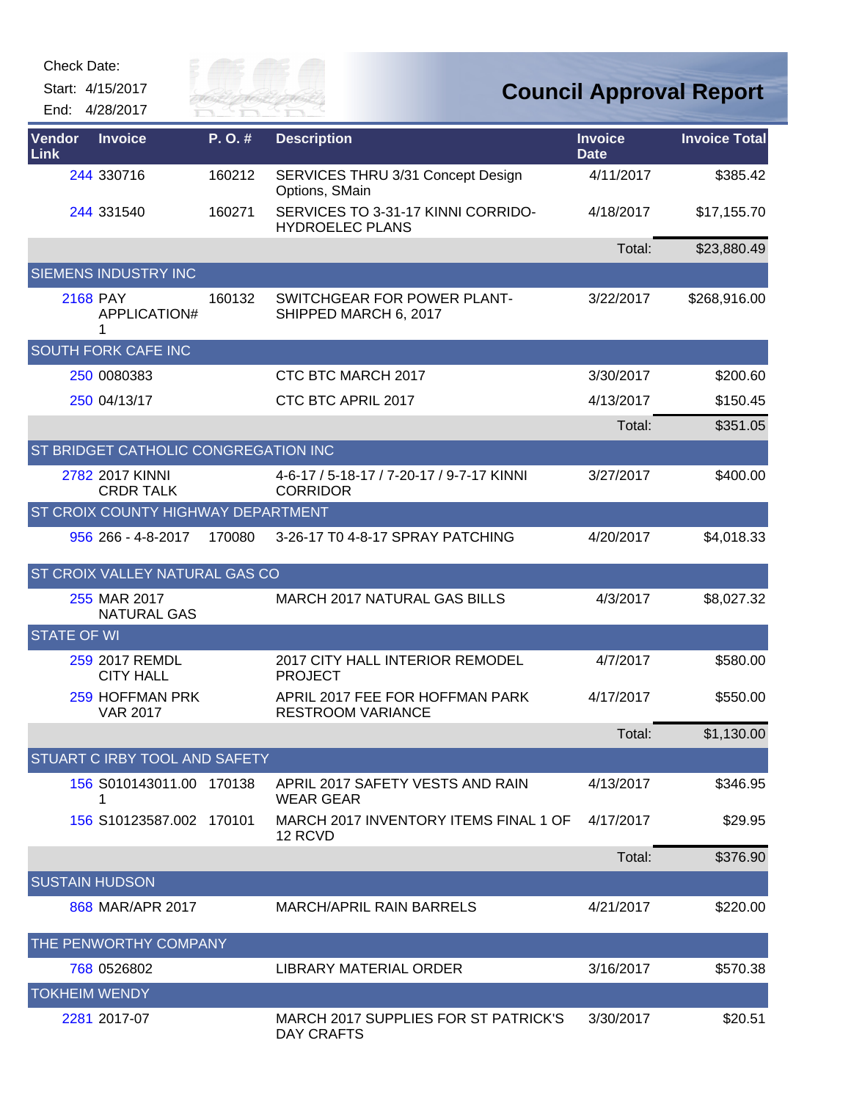| Check Date:        |                                      |                      |                                                              |                               |                                |
|--------------------|--------------------------------------|----------------------|--------------------------------------------------------------|-------------------------------|--------------------------------|
|                    | Start: 4/15/2017<br>End: 4/28/2017   | City of<br>RIVER FAI |                                                              |                               | <b>Council Approval Report</b> |
| Vendor<br>Link     | <b>Invoice</b>                       | P.O.#                | <b>Description</b>                                           | <b>Invoice</b><br><b>Date</b> | <b>Invoice Total</b>           |
|                    | 244 330716                           | 160212               | SERVICES THRU 3/31 Concept Design<br>Options, SMain          | 4/11/2017                     | \$385.42                       |
|                    | 244 331540                           | 160271               | SERVICES TO 3-31-17 KINNI CORRIDO-<br><b>HYDROELEC PLANS</b> | 4/18/2017                     | \$17,155.70                    |
|                    |                                      |                      |                                                              | Total:                        | \$23,880.49                    |
|                    | <b>SIEMENS INDUSTRY INC</b>          |                      |                                                              |                               |                                |
|                    | <b>2168 PAY</b><br>APPLICATION#      | 160132               | SWITCHGEAR FOR POWER PLANT-<br>SHIPPED MARCH 6, 2017         | 3/22/2017                     | \$268,916.00                   |
|                    | SOUTH FORK CAFE INC                  |                      |                                                              |                               |                                |
|                    | 250 0080383                          |                      | CTC BTC MARCH 2017                                           | 3/30/2017                     | \$200.60                       |
|                    | 250 04/13/17                         |                      | CTC BTC APRIL 2017                                           | 4/13/2017                     | \$150.45                       |
|                    |                                      |                      |                                                              | Total:                        | \$351.05                       |
|                    | ST BRIDGET CATHOLIC CONGREGATION INC |                      |                                                              |                               |                                |
|                    | 2782 2017 KINNI<br><b>CRDR TALK</b>  |                      | 4-6-17 / 5-18-17 / 7-20-17 / 9-7-17 KINNI<br><b>CORRIDOR</b> | 3/27/2017                     | \$400.00                       |
|                    | ST CROIX COUNTY HIGHWAY DEPARTMENT   |                      |                                                              |                               |                                |
|                    | 956 266 - 4-8-2017                   | 170080               | 3-26-17 TO 4-8-17 SPRAY PATCHING                             | 4/20/2017                     | \$4,018.33                     |
|                    | ST CROIX VALLEY NATURAL GAS CO       |                      |                                                              |                               |                                |
|                    | 255 MAR 2017<br><b>NATURAL GAS</b>   |                      | <b>MARCH 2017 NATURAL GAS BILLS</b>                          | 4/3/2017                      | \$8,027.32                     |
| <b>STATE OF WI</b> |                                      |                      |                                                              |                               |                                |
|                    | 259 2017 REMDL<br><b>CITY HALL</b>   |                      | 2017 CITY HALL INTERIOR REMODEL<br><b>PROJECT</b>            | 4/7/2017                      | \$580.00                       |
|                    | 259 HOFFMAN PRK<br><b>VAR 2017</b>   |                      | APRIL 2017 FEE FOR HOFFMAN PARK<br><b>RESTROOM VARIANCE</b>  | 4/17/2017                     | \$550.00                       |
|                    |                                      |                      |                                                              | Total:                        | \$1,130.00                     |
|                    | STUART C IRBY TOOL AND SAFETY        |                      |                                                              |                               |                                |
|                    | 156 S010143011.00 170138<br>1        |                      | APRIL 2017 SAFETY VESTS AND RAIN<br><b>WEAR GEAR</b>         | 4/13/2017                     | \$346.95                       |
|                    | 156 S10123587.002 170101             |                      | MARCH 2017 INVENTORY ITEMS FINAL 1 OF<br>12 RCVD             | 4/17/2017                     | \$29.95                        |
|                    |                                      |                      |                                                              | Total:                        | \$376.90                       |
|                    | <b>SUSTAIN HUDSON</b>                |                      |                                                              |                               |                                |
|                    | 868 MAR/APR 2017                     |                      | <b>MARCH/APRIL RAIN BARRELS</b>                              | 4/21/2017                     | \$220.00                       |
|                    | THE PENWORTHY COMPANY                |                      |                                                              |                               |                                |
|                    | 768 0526802                          |                      | LIBRARY MATERIAL ORDER                                       | 3/16/2017                     | \$570.38                       |
|                    | <b>TOKHEIM WENDY</b>                 |                      |                                                              |                               |                                |
|                    | 2281 2017-07                         |                      | MARCH 2017 SUPPLIES FOR ST PATRICK'S<br><b>DAY CRAFTS</b>    | 3/30/2017                     | \$20.51                        |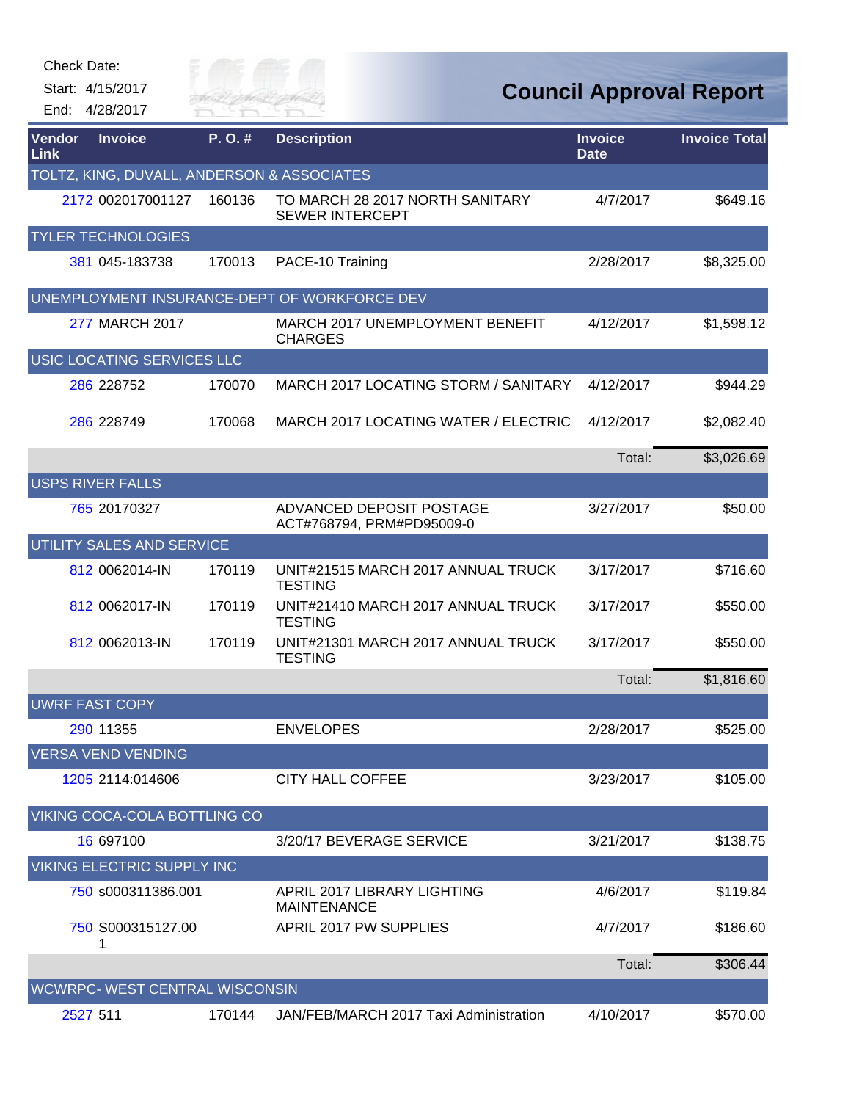|                | Check Date:<br>Start: 4/15/2017<br>End: 4/28/2017 | City of<br>RIVER FAI |                                                           |                               | <b>Council Approval Report</b> |
|----------------|---------------------------------------------------|----------------------|-----------------------------------------------------------|-------------------------------|--------------------------------|
| Vendor<br>Link | <b>Invoice</b>                                    | P.O.#                | <b>Description</b>                                        | <b>Invoice</b><br><b>Date</b> | <b>Invoice Total</b>           |
|                | TOLTZ, KING, DUVALL, ANDERSON & ASSOCIATES        |                      |                                                           |                               |                                |
|                | 2172 002017001127                                 | 160136               | TO MARCH 28 2017 NORTH SANITARY<br><b>SEWER INTERCEPT</b> | 4/7/2017                      | \$649.16                       |
|                | <b>TYLER TECHNOLOGIES</b>                         |                      |                                                           |                               |                                |
|                | 381 045-183738                                    | 170013               | PACE-10 Training                                          | 2/28/2017                     | \$8,325.00                     |
|                |                                                   |                      | UNEMPLOYMENT INSURANCE-DEPT OF WORKFORCE DEV              |                               |                                |
|                | 277 MARCH 2017                                    |                      | MARCH 2017 UNEMPLOYMENT BENEFIT<br><b>CHARGES</b>         | 4/12/2017                     | \$1,598.12                     |
|                | <b>USIC LOCATING SERVICES LLC</b>                 |                      |                                                           |                               |                                |
|                | 286 228752                                        | 170070               | MARCH 2017 LOCATING STORM / SANITARY                      | 4/12/2017                     | \$944.29                       |
|                | 286 228749                                        | 170068               | MARCH 2017 LOCATING WATER / ELECTRIC                      | 4/12/2017                     | \$2,082.40                     |
|                |                                                   |                      |                                                           | Total:                        | \$3,026.69                     |
|                | <b>USPS RIVER FALLS</b>                           |                      |                                                           |                               |                                |
|                | 765 20170327                                      |                      | ADVANCED DEPOSIT POSTAGE<br>ACT#768794, PRM#PD95009-0     | 3/27/2017                     | \$50.00                        |
|                | UTILITY SALES AND SERVICE                         |                      |                                                           |                               |                                |
|                | 812 0062014-IN                                    | 170119               | UNIT#21515 MARCH 2017 ANNUAL TRUCK<br><b>TESTING</b>      | 3/17/2017                     | \$716.60                       |
|                | 812 0062017-IN                                    | 170119               | UNIT#21410 MARCH 2017 ANNUAL TRUCK<br><b>TESTING</b>      | 3/17/2017                     | \$550.00                       |
|                | 812 0062013-IN                                    | 170119               | UNIT#21301 MARCH 2017 ANNUAL TRUCK<br><b>TESTING</b>      | 3/17/2017                     | \$550.00                       |
|                |                                                   |                      |                                                           | Total:                        | \$1,816.60                     |
|                | <b>UWRF FAST COPY</b>                             |                      |                                                           |                               |                                |
|                | 290 11355                                         |                      | <b>ENVELOPES</b>                                          | 2/28/2017                     | \$525.00                       |
|                | <b>VERSA VEND VENDING</b>                         |                      |                                                           |                               |                                |
|                | 1205 2114:014606                                  |                      | <b>CITY HALL COFFEE</b>                                   | 3/23/2017                     | \$105.00                       |
|                | VIKING COCA-COLA BOTTLING CO                      |                      |                                                           |                               |                                |
|                | 16 697100                                         |                      | 3/20/17 BEVERAGE SERVICE                                  | 3/21/2017                     | \$138.75                       |
|                | <b>VIKING ELECTRIC SUPPLY INC</b>                 |                      |                                                           |                               |                                |
|                | 750 s000311386.001                                |                      | APRIL 2017 LIBRARY LIGHTING<br><b>MAINTENANCE</b>         | 4/6/2017                      | \$119.84                       |
|                | 750 S000315127.00<br>1                            |                      | APRIL 2017 PW SUPPLIES                                    | 4/7/2017                      | \$186.60                       |
|                |                                                   |                      |                                                           | Total:                        | \$306.44                       |
|                | WCWRPC- WEST CENTRAL WISCONSIN                    |                      |                                                           |                               |                                |
|                | 2527 511                                          | 170144               | JAN/FEB/MARCH 2017 Taxi Administration                    | 4/10/2017                     | \$570.00                       |

**ANTIFICIAL**